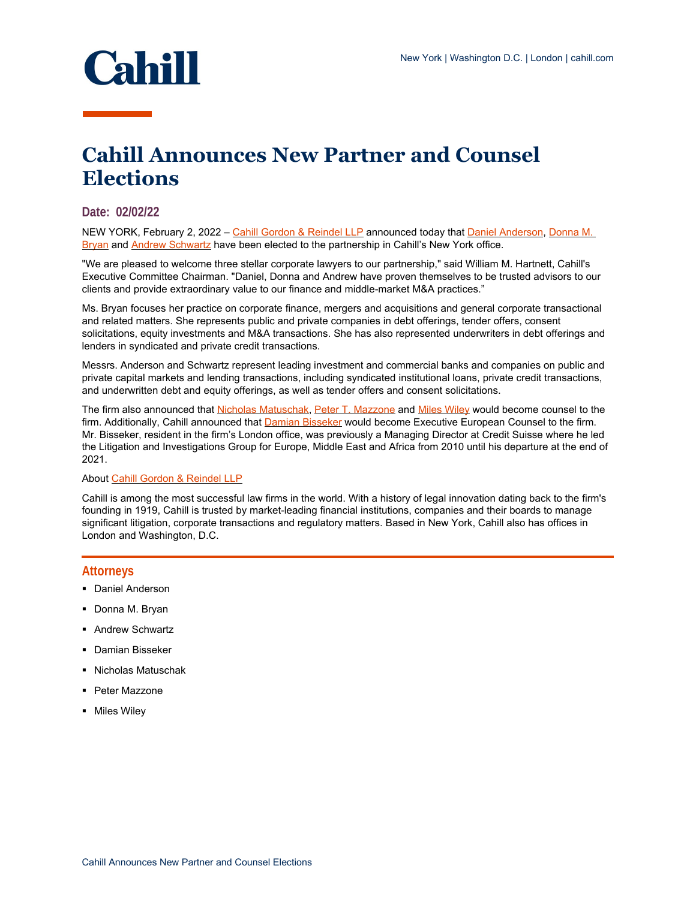

## **Cahill Announces New Partner and Counsel Elections**

## **Date: 02/02/22**

NEW YORK, February 2, 2022 – [Cahill Gordon & Reindel LLP](https://www.cahill.com/) announced today that [Daniel Anderson](https://www.cahill.com/professionals/daniel-anderson), [Donna M.](https://www.cahill.com/professionals/donna-bryan)  [Bryan](https://www.cahill.com/professionals/donna-bryan) and [Andrew Schwartz](https://www.cahill.com/professionals/andrew-schwartz) have been elected to the partnership in Cahill's New York office.

"We are pleased to welcome three stellar corporate lawyers to our partnership," said William M. Hartnett, Cahill's Executive Committee Chairman. "Daniel, Donna and Andrew have proven themselves to be trusted advisors to our clients and provide extraordinary value to our finance and middle-market M&A practices."

Ms. Bryan focuses her practice on corporate finance, mergers and acquisitions and general corporate transactional and related matters. She represents public and private companies in debt offerings, tender offers, consent solicitations, equity investments and M&A transactions. She has also represented underwriters in debt offerings and lenders in syndicated and private credit transactions.

Messrs. Anderson and Schwartz represent leading investment and commercial banks and companies on public and private capital markets and lending transactions, including syndicated institutional loans, private credit transactions, and underwritten debt and equity offerings, as well as tender offers and consent solicitations.

The firm also announced that [Nicholas Matuschak,](https://www.cahill.com/professionals/nicholas-matuschak) [Peter T. Mazzone](https://www.cahill.com/professionals/peter-mazzone) and [Miles Wiley](https://www.cahill.com/professionals/miles-wiley) would become counsel to the firm. Additionally, Cahill announced that [Damian Bisseker](https://www.cahill.com/professionals/damian-bisseker) would become Executive European Counsel to the firm. Mr. Bisseker, resident in the firm's London office, was previously a Managing Director at Credit Suisse where he led the Litigation and Investigations Group for Europe, Middle East and Africa from 2010 until his departure at the end of 2021.

## About [Cahill Gordon & Reindel LLP](http://www.cahill.com/)

Cahill is among the most successful law firms in the world. With a history of legal innovation dating back to the firm's founding in 1919, Cahill is trusted by market-leading financial institutions, companies and their boards to manage significant litigation, corporate transactions and regulatory matters. Based in New York, Cahill also has offices in London and Washington, D.C.

## **Attorneys**

- Daniel Anderson
- Donna M. Bryan
- **Andrew Schwartz**
- **Damian Bisseker**
- Nicholas Matuschak
- Peter Mazzone
- **Miles Wiley**